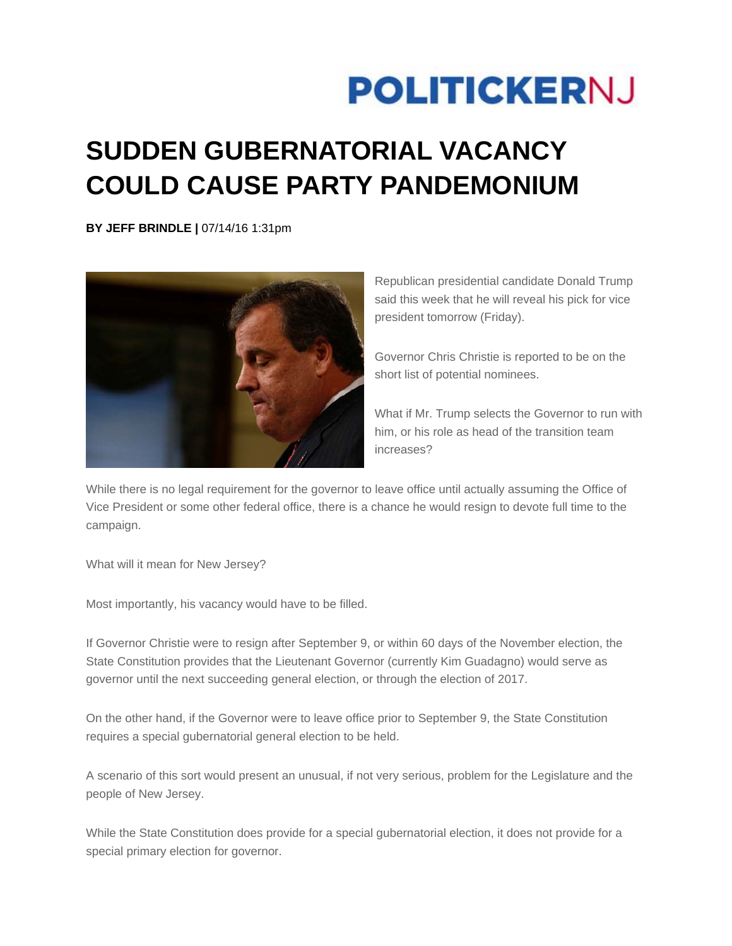## **POLITICKERNJ**

## **SUDDEN GUBERNATORIAL VACANCY COULD CAUSE PARTY PANDEMONIUM**

**BY JEFF BRINDLE |** 07/14/16 1:31pm



Republican presidential candidate Donald Trump said this week that he will reveal his pick for vice president tomorrow (Friday).

Governor Chris Christie is reported to be on the short list of potential nominees.

What if Mr. Trump selects the Governor to run with him, or his role as head of the transition team increases?

While there is no legal requirement for the governor to leave office until actually assuming the Office of Vice President or some other federal office, there is a chance he would resign to devote full time to the campaign.

What will it mean for New Jersey?

Most importantly, his vacancy would have to be filled.

If Governor Christie were to resign after September 9, or within 60 days of the November election, the State Constitution provides that the Lieutenant Governor (currently Kim Guadagno) would serve as governor until the next succeeding general election, or through the election of 2017.

On the other hand, if the Governor were to leave office prior to September 9, the State Constitution requires a special gubernatorial general election to be held.

A scenario of this sort would present an unusual, if not very serious, problem for the Legislature and the people of New Jersey.

While the State Constitution does provide for a special gubernatorial election, it does not provide for a special primary election for governor.